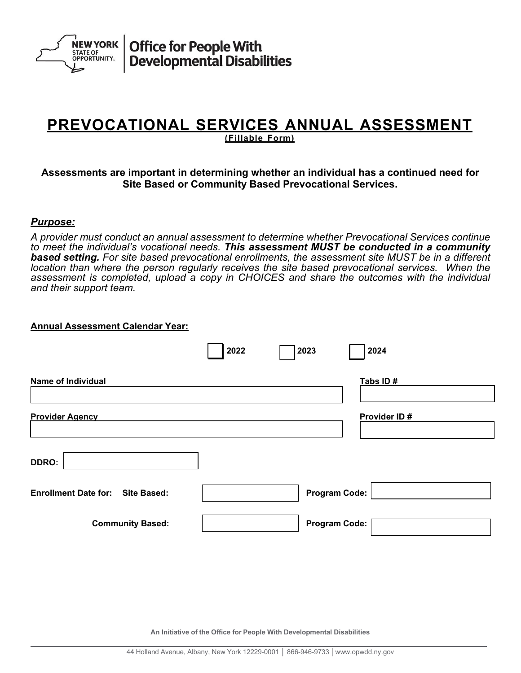

Office for People With<br>Developmental Disabilities

# **PREVOCATIONAL SERVICES ANNUAL ASSESSMENT ( Fillable Form)**

## **Assessments are important in determining whether an individual has a continued need for Site Based or Community Based Prevocational Services.**

#### *Purpose:*

*A provider must conduct an annual assessment to determine whether Prevocational Services continue to meet the individual's vocational needs. This assessment MUST be conducted in a community based setting. For site based prevocational enrollments, the assessment site MUST be in a different location than where the person regularly receives the site based prevocational services. When the assessment is completed, upload a copy in CHOICES and share the outcomes with the individual and their support team.* 

#### **Annual Assessment Calendar Year:**

|                                         | 2022 | 2023                 | 2024         |
|-----------------------------------------|------|----------------------|--------------|
| <b>Name of Individual</b>               |      |                      | Tabs ID#     |
| <b>Provider Agency</b>                  |      |                      | Provider ID# |
| <b>DDRO:</b>                            |      |                      |              |
| <b>Enrollment Date for: Site Based:</b> |      | <b>Program Code:</b> |              |
| <b>Community Based:</b>                 |      | <b>Program Code:</b> |              |

**An Initiative of the Office for People With Developmental Disabilities**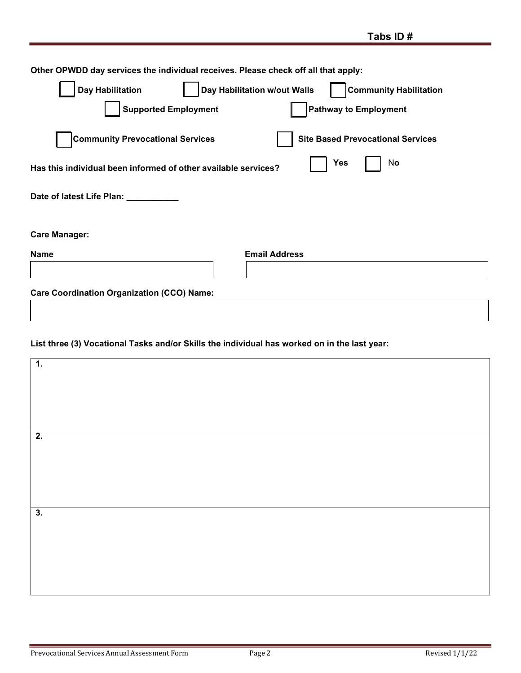# **List three (3) Vocational Tasks and/or Skills the individual has worked on in the last year:**

| 1.                        |  |
|---------------------------|--|
|                           |  |
|                           |  |
|                           |  |
| $\overline{2}$ .          |  |
|                           |  |
|                           |  |
|                           |  |
| $\overline{\mathbf{3}}$ . |  |
|                           |  |
|                           |  |
|                           |  |
|                           |  |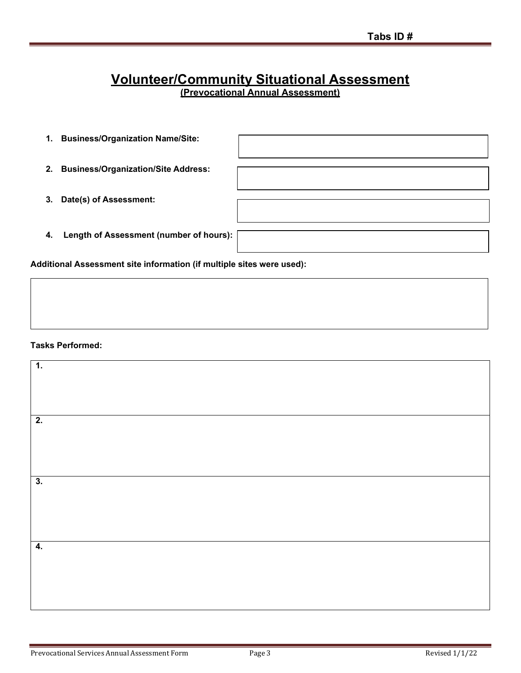# **Volunteer/Community Situational Assessment**

**(Prevocational Annual Assessment)**

- **1. Business/Organization Name/Site:**
- **2. Business/Organization/Site Address:**
- **3. Date(s) of Assessment:**
- **4. Length of Assessment (number of hours):**

**Additional Assessment site information (if multiple sites were used):**

#### **Tasks Performed:**

| $\overline{1}$ . |  |
|------------------|--|
|                  |  |
|                  |  |
| 2.               |  |
|                  |  |
|                  |  |
| 3.               |  |
|                  |  |
|                  |  |
|                  |  |
| $\overline{4}$ . |  |
|                  |  |
|                  |  |
|                  |  |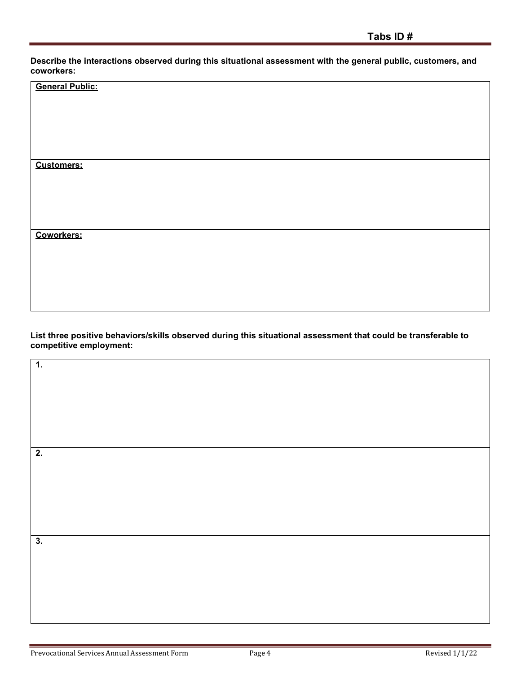**Describe the interactions observed during this situational assessment with the general public, customers, and coworkers:**

| <b>General Public:</b> |
|------------------------|
|                        |
|                        |
|                        |
|                        |
| <b>Customers:</b>      |
|                        |
|                        |
|                        |
| <b>Coworkers:</b>      |
|                        |
|                        |
|                        |
|                        |

**List three positive behaviors/skills observed during this situational assessment that could be transferable to competitive employment:**

| $\overline{2}$ .          |  |
|---------------------------|--|
|                           |  |
| $\overline{\mathbf{3}}$ . |  |
|                           |  |
|                           |  |

**1.**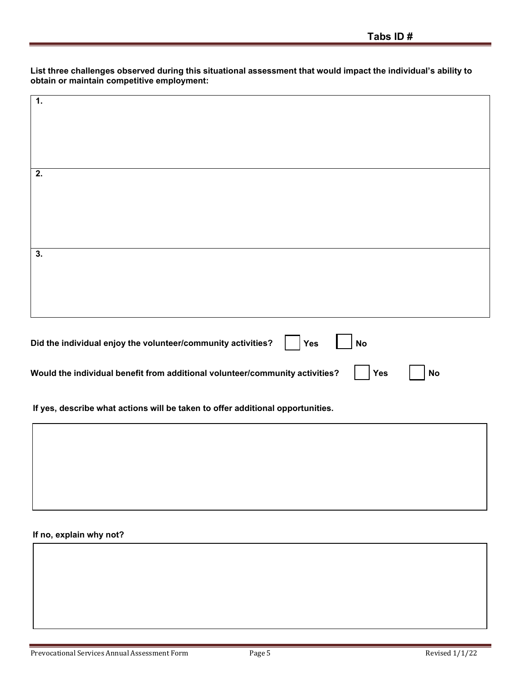**List three challenges observed during this situational assessment that would impact the individual's ability to obtain or maintain competitive employment:**

| 1.                                                                          |           |  |
|-----------------------------------------------------------------------------|-----------|--|
|                                                                             |           |  |
|                                                                             |           |  |
|                                                                             |           |  |
|                                                                             |           |  |
|                                                                             |           |  |
| 2.                                                                          |           |  |
|                                                                             |           |  |
|                                                                             |           |  |
|                                                                             |           |  |
|                                                                             |           |  |
|                                                                             |           |  |
|                                                                             |           |  |
| $\overline{\mathbf{3}}$ .                                                   |           |  |
|                                                                             |           |  |
|                                                                             |           |  |
|                                                                             |           |  |
|                                                                             |           |  |
|                                                                             |           |  |
|                                                                             |           |  |
|                                                                             |           |  |
| Did the individual enjoy the volunteer/community activities?<br>$\vert$ Yes | <b>No</b> |  |
|                                                                             |           |  |
|                                                                             |           |  |

**Would** the individual benefit from additional volunteer/community activities? | | Yes | | No

**If yes, describe what actions will be taken to offer additional opportunities.**

#### **If no, explain why not?**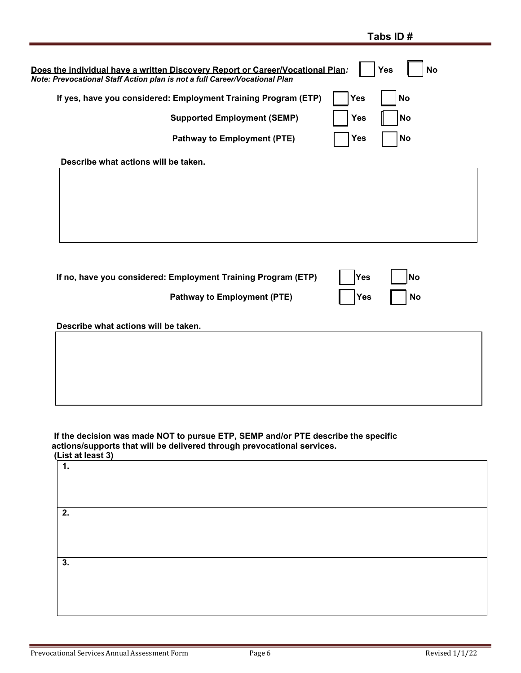|                                                                                                                                                              | Tabs ID#                |
|--------------------------------------------------------------------------------------------------------------------------------------------------------------|-------------------------|
| Does the individual have a written Discovery Report or Career/Vocational Plan:<br>Note: Prevocational Staff Action plan is not a full Career/Vocational Plan | <b>Yes</b><br><b>No</b> |
| If yes, have you considered: Employment Training Program (ETP)                                                                                               | <b>Yes</b><br><b>No</b> |
| <b>Supported Employment (SEMP)</b>                                                                                                                           | <b>No</b><br><b>Yes</b> |
| <b>Pathway to Employment (PTE)</b>                                                                                                                           | No<br><b>Yes</b>        |
| Describe what actions will be taken.                                                                                                                         |                         |
|                                                                                                                                                              |                         |
|                                                                                                                                                              |                         |
|                                                                                                                                                              |                         |
|                                                                                                                                                              |                         |
|                                                                                                                                                              |                         |
| If no, have you considered: Employment Training Program (ETP)                                                                                                | Yes<br><b>No</b>        |
| <b>Pathway to Employment (PTE)</b>                                                                                                                           | <b>No</b><br><b>Yes</b> |
| Describe what actions will be taken.                                                                                                                         |                         |
|                                                                                                                                                              |                         |
|                                                                                                                                                              |                         |
|                                                                                                                                                              |                         |
|                                                                                                                                                              |                         |
|                                                                                                                                                              |                         |
|                                                                                                                                                              |                         |
| If the decision was made NOT to pursue ETP, SEMP and/or PTE describe the specific<br>actions/supports that will be delivered through prevocational services. |                         |
| (List at least 3)                                                                                                                                            |                         |
| $\mathbf 1$ .                                                                                                                                                |                         |
|                                                                                                                                                              |                         |

| 2. |  |  |  |
|----|--|--|--|
|    |  |  |  |
| 3. |  |  |  |
|    |  |  |  |
|    |  |  |  |
|    |  |  |  |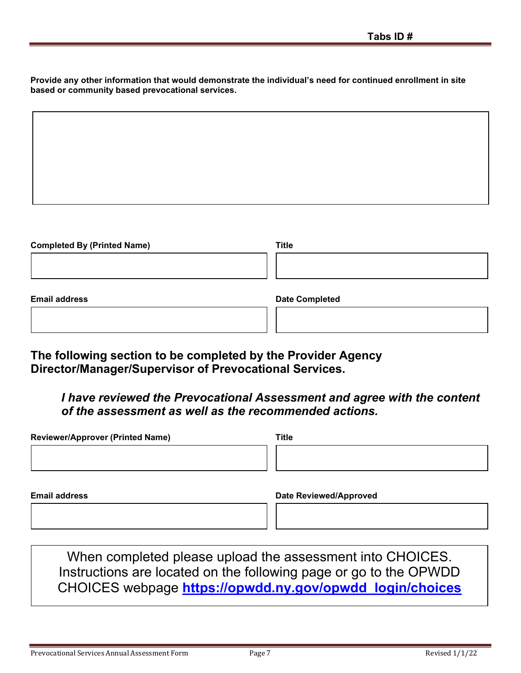**Provide any other information that would demonstrate the individual's need for continued enrollment in site based or community based prevocational services.**

| Completed Dy (Drinted Name) | TiH <sub>2</sub> |  |
|-----------------------------|------------------|--|

| <b>Completed By (Printed Name)</b> | Title                 |
|------------------------------------|-----------------------|
|                                    |                       |
|                                    |                       |
|                                    |                       |
| <b>Email address</b>               | <b>Date Completed</b> |
|                                    |                       |

**The following section to be completed by the Provider Agency Director/Manager/Supervisor of Prevocational Services.**

*I have reviewed the Prevocational Assessment and agree with the content of the assessment as well as the recommended actions.*

| <b>Reviewer/Approver (Printed Name)</b> | <b>Title</b>                  |
|-----------------------------------------|-------------------------------|
|                                         |                               |
|                                         |                               |
|                                         |                               |
| <b>Email address</b>                    | <b>Date Reviewed/Approved</b> |
|                                         |                               |
|                                         |                               |

When completed please upload the assessment into CHOICES. Instructions are located on the following page or go to the OPWDD CHOICES webpage **[https://opwdd.ny.gov/opwdd\\_login/choices](https://opwdd.ny.gov/opwdd_login/choices)**